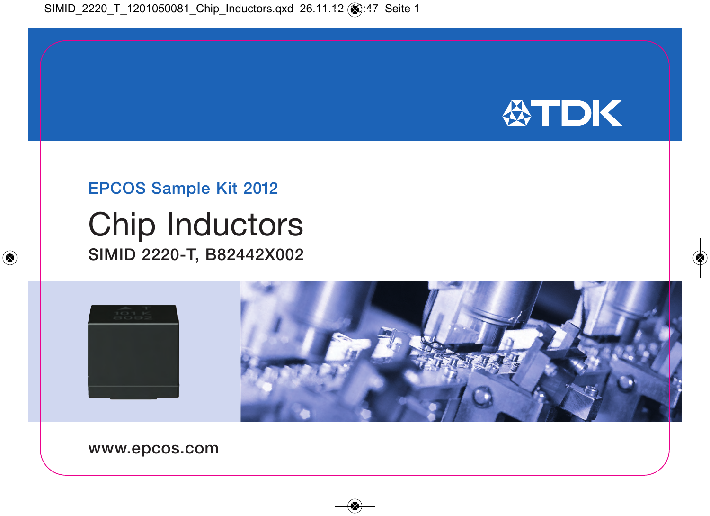

## EPCOS Sample Kit 2012

## Chip Inductors SIMID 2220-T, B82442X002



www.epcos.com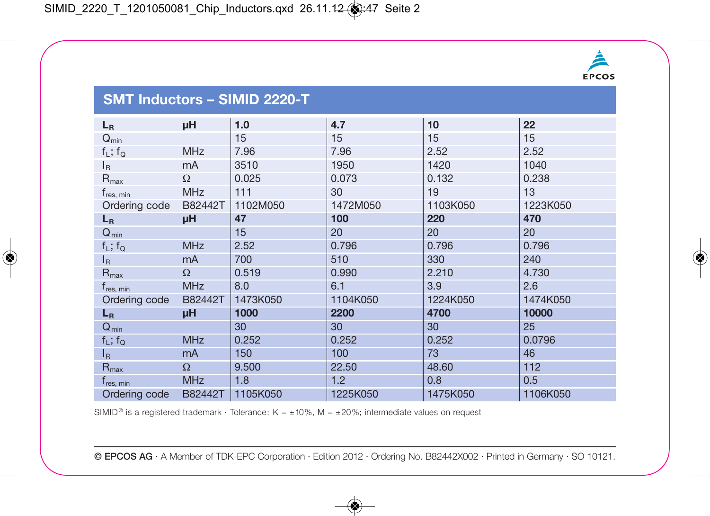

## **SMT Inductors – SIMID 2220-T**

| $L_R$                 | μH             | 1.0      | 4.7      | 10       | 22       |
|-----------------------|----------------|----------|----------|----------|----------|
| $Q_{min}$             |                | 15       | 15       | 15       | 15       |
| $f_L$ ; $f_Q$         | <b>MHz</b>     | 7.96     | 7.96     | 2.52     | 2.52     |
| $I_{\rm R}$           | mA             | 3510     | 1950     | 1420     | 1040     |
| $R_{\text{max}}$      | $\Omega$       | 0.025    | 0.073    | 0.132    | 0.238    |
| t <sub>res, min</sub> | <b>MHz</b>     | 111      | 30       | 19       | 13       |
| Ordering code         | B82442T        | 1102M050 | 1472M050 | 1103K050 | 1223K050 |
| $L_R$                 | μH             | 47       | 100      | 220      | 470      |
| $Q_{min}$             |                | 15       | 20       | 20       | 20       |
| $f_L$ ; $f_Q$         | <b>MHz</b>     | 2.52     | 0.796    | 0.796    | 0.796    |
| $I_{\mathsf{R}}$      | mA             | 700      | 510      | 330      | 240      |
| $R_{\text{max}}$      | $\Omega$       | 0.519    | 0.990    | 2.210    | 4.730    |
| t <sub>res, min</sub> | <b>MHz</b>     | 8.0      | 6.1      | 3.9      | 2.6      |
| Ordering code         | B82442T        | 1473K050 | 1104K050 | 1224K050 | 1474K050 |
| $L_R$                 | μH             | 1000     | 2200     | 4700     | 10000    |
| $Q_{min}$             |                | 30       | 30       | 30       | 25       |
| $f_L$ ; $f_Q$         | <b>MHz</b>     | 0.252    | 0.252    | 0.252    | 0.0796   |
| $I_{\mathsf{R}}$      | m <sub>A</sub> | 150      | 100      | 73       | 46       |
| $R_{\text{max}}$      | $\Omega$       | 9.500    | 22.50    | 48.60    | 112      |
| $t_{res, min}$        | <b>MHz</b>     | 1.8      | 1.2      | 0.8      | 0.5      |
| Ordering code         | B82442T        | 1105K050 | 1225K050 | 1475K050 | 1106K050 |

SIMID<sup>®</sup> is a registered trademark · Tolerance: K =  $\pm$  10%, M =  $\pm$  20%; intermediate values on request

© EPCOS AG · A Member of TDK-EPC Corporation · Edition 2012 · Ordering No. B82442X002 · Printed in Germany · SO 10121.